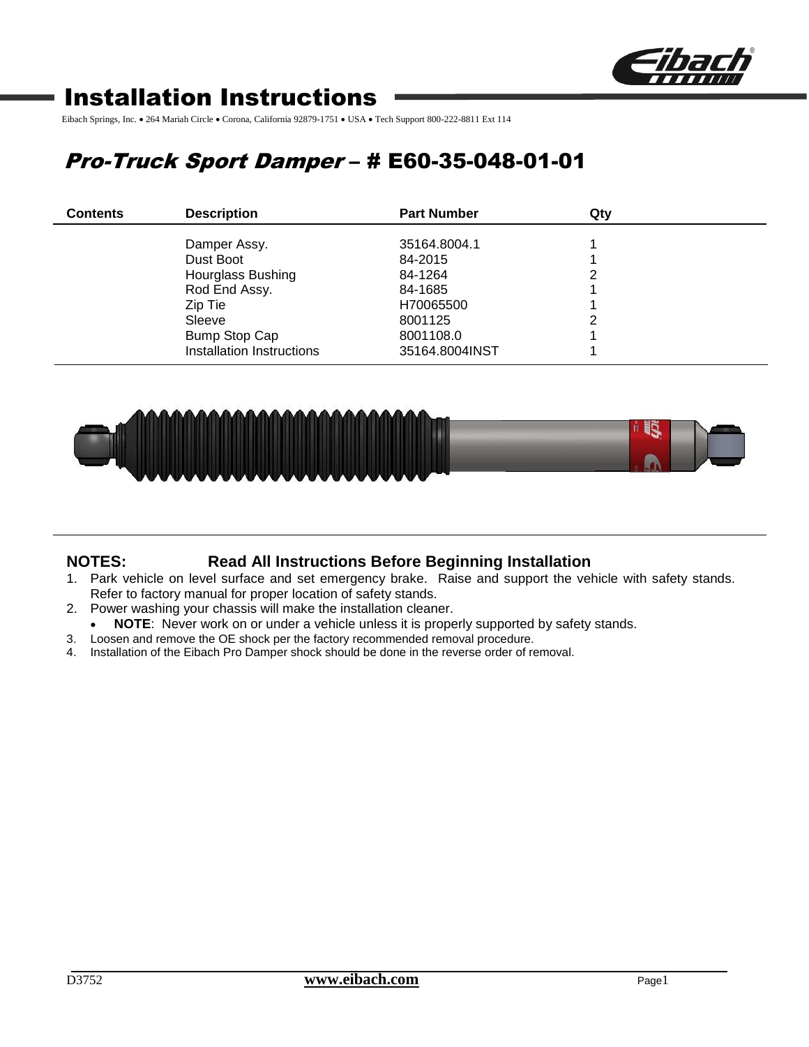

# Installation Instructions

Eibach Springs, Inc. • 264 Mariah Circle • Corona, California 92879-1751 • USA • Tech Support 800-222-8811 Ext 114

# Pro-Truck Sport Damper – # E60-35-048-01-01

| <b>Contents</b> | <b>Description</b>        | <b>Part Number</b> | Qtv |  |
|-----------------|---------------------------|--------------------|-----|--|
|                 | Damper Assy.              | 35164.8004.1       |     |  |
|                 | Dust Boot                 | 84-2015            |     |  |
|                 | Hourglass Bushing         | 84-1264            |     |  |
|                 | Rod End Assy.             | 84-1685            |     |  |
|                 | Zip Tie                   | H70065500          |     |  |
|                 | Sleeve                    | 8001125            |     |  |
|                 | <b>Bump Stop Cap</b>      | 8001108.0          |     |  |
|                 | Installation Instructions | 35164.8004INST     |     |  |



## **NOTES: Read All Instructions Before Beginning Installation**

- 1. Park vehicle on level surface and set emergency brake. Raise and support the vehicle with safety stands. Refer to factory manual for proper location of safety stands.
- 2. Power washing your chassis will make the installation cleaner.
- **NOTE**: Never work on or under a vehicle unless it is properly supported by safety stands.
- 3. Loosen and remove the OE shock per the factory recommended removal procedure.
- 4. Installation of the Eibach Pro Damper shock should be done in the reverse order of removal.